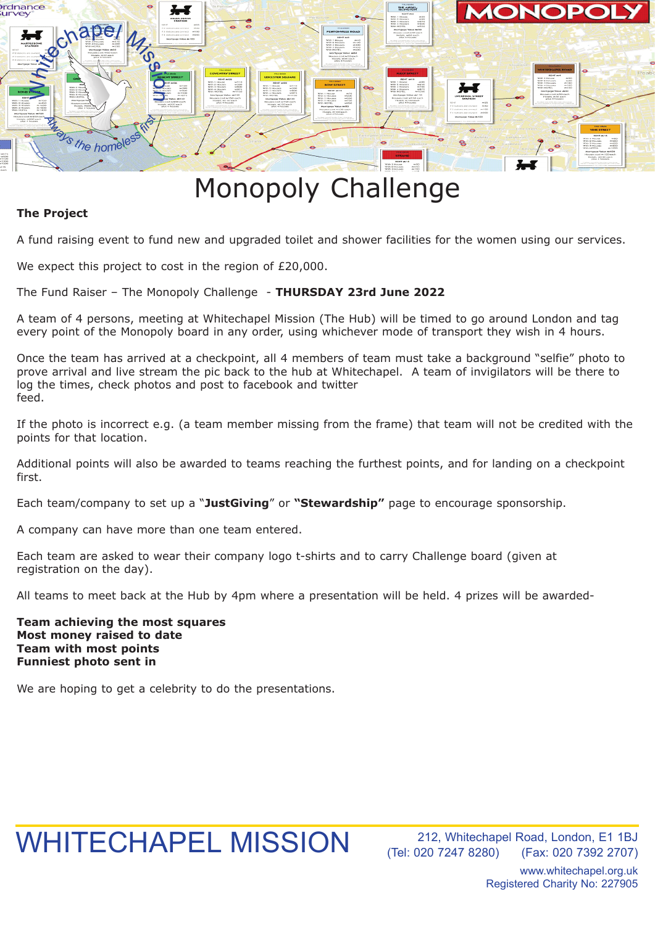

## Monopoly Challenge

## **The Project**

A fund raising event to fund new and upgraded toilet and shower facilities for the women using our services.

We expect this project to cost in the region of £20,000.

The Fund Raiser – The Monopoly Challenge - **THURSDAY 23rd June 2022**

A team of 4 persons, meeting at Whitechapel Mission (The Hub) will be timed to go around London and tag every point of the Monopoly board in any order, using whichever mode of transport they wish in 4 hours.

Once the team has arrived at a checkpoint, all 4 members of team must take a background "selfie" photo to prove arrival and live stream the pic back to the hub at Whitechapel. A team of invigilators will be there to log the times, check photos and post to facebook and twitter feed.

If the photo is incorrect e.g. (a team member missing from the frame) that team will not be credited with the points for that location.

Additional points will also be awarded to teams reaching the furthest points, and for landing on a checkpoint first.

Each team/company to set up a "**JustGiving**" or **"Stewardship"** page to encourage sponsorship.

A company can have more than one team entered.

Each team are asked to wear their company logo t-shirts and to carry Challenge board (given at registration on the day).

All teams to meet back at the Hub by 4pm where a presentation will be held. 4 prizes will be awarded-

**Team achieving the most squares Most money raised to date Team with most points Funniest photo sent in**

We are hoping to get a celebrity to do the presentations.

## WHITECHAPEL MISSION

212, Whitechapel Road, London, E1 1BJ (Tel: 020 7247 8280) (Fax: 020 7392 2707)

> www.whitechapel.org.uk Registered Charity No: 227905